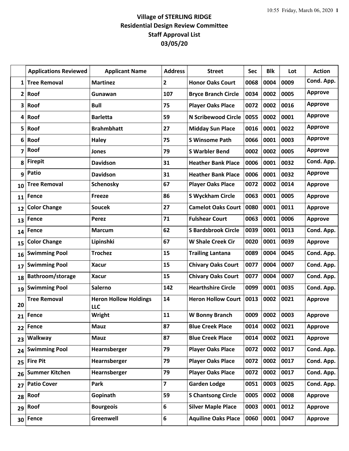## **Village of STERLING RIDGE Residential Design Review Committee Staff Approval List 03/05/20**

|                | <b>Applications Reviewed</b> | <b>Applicant Name</b>               | <b>Address</b>          | <b>Street</b>              | <b>Sec</b> | <b>Blk</b> | Lot  | <b>Action</b>  |
|----------------|------------------------------|-------------------------------------|-------------------------|----------------------------|------------|------------|------|----------------|
| 1              | <b>Tree Removal</b>          | <b>Martinez</b>                     | $\overline{2}$          | <b>Honor Oaks Court</b>    | 0068       | 0004       | 0009 | Cond. App.     |
| $\overline{2}$ | Roof                         | Gunawan                             | 107                     | <b>Bryce Branch Circle</b> | 0034       | 0002       | 0005 | <b>Approve</b> |
| 3              | Roof                         | <b>Bull</b>                         | 75                      | <b>Player Oaks Place</b>   | 0072       | 0002       | 0016 | <b>Approve</b> |
| 4              | Roof                         | <b>Barletta</b>                     | 59                      | <b>N Scribewood Circle</b> | 0055       | 0002       | 0001 | <b>Approve</b> |
| 5              | Roof                         | <b>Brahmbhatt</b>                   | 27                      | <b>Midday Sun Place</b>    | 0016       | 0001       | 0022 | <b>Approve</b> |
| 6              | Roof                         | <b>Haley</b>                        | 75                      | <b>S Winsome Path</b>      | 0066       | 0001       | 0003 | <b>Approve</b> |
| 7              | Roof                         | Jones                               | 79                      | <b>S Warbler Bend</b>      | 0002       | 0002       | 0005 | <b>Approve</b> |
| 8              | <b>Firepit</b>               | <b>Davidson</b>                     | 31                      | <b>Heather Bank Place</b>  | 0006       | 0001       | 0032 | Cond. App.     |
| 9              | <b>Patio</b>                 | <b>Davidson</b>                     | 31                      | <b>Heather Bank Place</b>  | 0006       | 0001       | 0032 | <b>Approve</b> |
| 10             | <b>Tree Removal</b>          | <b>Schenosky</b>                    | 67                      | <b>Player Oaks Place</b>   | 0072       | 0002       | 0014 | <b>Approve</b> |
| 11             | Fence                        | <b>Freeze</b>                       | 86                      | <b>S Wyckham Circle</b>    | 0063       | 0001       | 0005 | <b>Approve</b> |
| 12             | <b>Color Change</b>          | <b>Soucek</b>                       | 27                      | <b>Camelot Oaks Court</b>  | 0080       | 0001       | 0011 | <b>Approve</b> |
| 13             | Fence                        | Perez                               | 71                      | <b>Fulshear Court</b>      | 0063       | 0001       | 0006 | <b>Approve</b> |
| 14             | Fence                        | <b>Marcum</b>                       | 62                      | <b>S Bardsbrook Circle</b> | 0039       | 0001       | 0013 | Cond. App.     |
| 15             | <b>Color Change</b>          | Lipinshki                           | 67                      | <b>W Shale Creek Cir</b>   | 0020       | 0001       | 0039 | <b>Approve</b> |
| 16             | <b>Swimming Pool</b>         | <b>Trochez</b>                      | 15                      | <b>Trailing Lantana</b>    | 0089       | 0004       | 0045 | Cond. App.     |
| 17             | <b>Swimming Pool</b>         | <b>Xacur</b>                        | 15                      | <b>Chivary Oaks Court</b>  | 0077       | 0004       | 0007 | Cond. App.     |
| 18             | Bathroom/storage             | <b>Xacur</b>                        | 15                      | <b>Chivary Oaks Court</b>  | 0077       | 0004       | 0007 | Cond. App.     |
| 19             | <b>Swimming Pool</b>         | Salerno                             | 142                     | <b>Hearthshire Circle</b>  | 0099       | 0001       | 0035 | Cond. App.     |
| 20             | <b>Tree Removal</b>          | <b>Heron Hollow Holdings</b><br>LLC | 14                      | <b>Heron Hollow Court</b>  | 0013       | 0002       | 0021 | <b>Approve</b> |
| 21             | <b>Fence</b>                 | <b>Wright</b>                       | 11                      | W Bonny Branch             | 0009       | 0002       | 0003 | <b>Approve</b> |
| 22             | Fence                        | Mauz                                | 87                      | <b>Blue Creek Place</b>    | 0014       | 0002       | 0021 | <b>Approve</b> |
| 23             | Walkway                      | <b>Mauz</b>                         | 87                      | <b>Blue Creek Place</b>    | 0014       | 0002       | 0021 | <b>Approve</b> |
| 24             | <b>Swimming Pool</b>         | Hearnsberger                        | 79                      | <b>Player Oaks Place</b>   | 0072       | 0002       | 0017 | Cond. App.     |
| 25             | <b>Fire Pit</b>              | Hearnsberger                        | 79                      | <b>Player Oaks Place</b>   | 0072       | 0002       | 0017 | Cond. App.     |
| 26             | <b>Summer Kitchen</b>        | Hearnsberger                        | 79                      | <b>Player Oaks Place</b>   | 0072       | 0002       | 0017 | Cond. App.     |
| 27             | <b>Patio Cover</b>           | Park                                | $\overline{\mathbf{z}}$ | <b>Garden Lodge</b>        | 0051       | 0003       | 0025 | Cond. App.     |
| 28             | Roof                         | Gopinath                            | 59                      | <b>S Chantsong Circle</b>  | 0005       | 0002       | 0008 | <b>Approve</b> |
| 29             | Roof                         | <b>Bourgeois</b>                    | 6                       | <b>Silver Maple Place</b>  | 0003       | 0001       | 0012 | <b>Approve</b> |
| 30             | Fence                        | Greenwell                           | 6                       | <b>Aquiline Oaks Place</b> | 0060       | 0001       | 0047 | <b>Approve</b> |